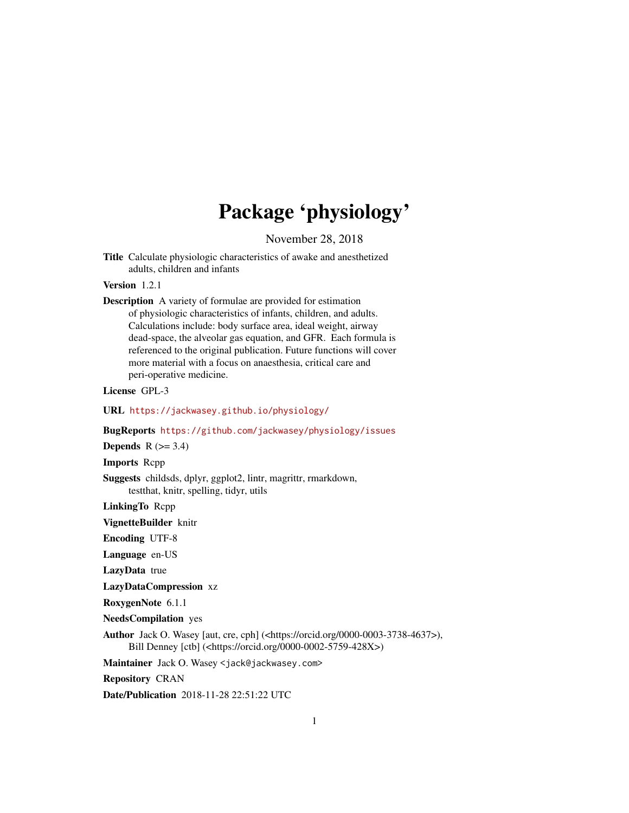# Package 'physiology'

November 28, 2018

<span id="page-0-0"></span>Title Calculate physiologic characteristics of awake and anesthetized adults, children and infants

Version 1.2.1

Description A variety of formulae are provided for estimation of physiologic characteristics of infants, children, and adults. Calculations include: body surface area, ideal weight, airway dead-space, the alveolar gas equation, and GFR. Each formula is referenced to the original publication. Future functions will cover more material with a focus on anaesthesia, critical care and peri-operative medicine.

License GPL-3

URL <https://jackwasey.github.io/physiology/>

BugReports <https://github.com/jackwasey/physiology/issues>

Depends  $R$  ( $>= 3.4$ )

Imports Rcpp

Suggests childsds, dplyr, ggplot2, lintr, magrittr, rmarkdown, testthat, knitr, spelling, tidyr, utils

LinkingTo Rcpp

VignetteBuilder knitr

Encoding UTF-8

Language en-US

LazyData true

LazyDataCompression xz

RoxygenNote 6.1.1

NeedsCompilation yes

Author Jack O. Wasey [aut, cre, cph] (<https://orcid.org/0000-0003-3738-4637>), Bill Denney [ctb] (<https://orcid.org/0000-0002-5759-428X>)

Maintainer Jack O. Wasey <jack@jackwasey.com>

Repository CRAN

Date/Publication 2018-11-28 22:51:22 UTC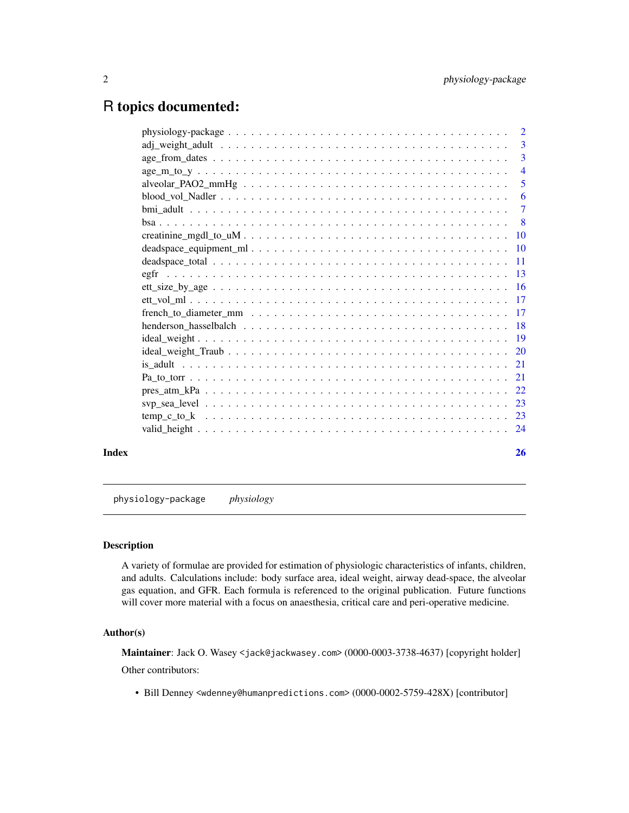## <span id="page-1-0"></span>R topics documented:

|       | $alveolar$ $PAO2$ $mm$ Hg $\ldots$ $\ldots$ $\ldots$ $\ldots$ $\ldots$ $\ldots$ $\ldots$ $\ldots$ $\ldots$ $\ldots$ $\ldots$ $\ldots$ | $\overline{5}$ |
|-------|---------------------------------------------------------------------------------------------------------------------------------------|----------------|
|       |                                                                                                                                       |                |
|       |                                                                                                                                       |                |
|       |                                                                                                                                       |                |
|       |                                                                                                                                       |                |
|       |                                                                                                                                       |                |
|       |                                                                                                                                       |                |
|       |                                                                                                                                       |                |
|       |                                                                                                                                       |                |
|       |                                                                                                                                       |                |
|       |                                                                                                                                       |                |
|       |                                                                                                                                       |                |
|       |                                                                                                                                       |                |
|       |                                                                                                                                       |                |
|       |                                                                                                                                       |                |
|       |                                                                                                                                       |                |
|       |                                                                                                                                       |                |
|       |                                                                                                                                       |                |
|       |                                                                                                                                       |                |
|       |                                                                                                                                       |                |
| Index |                                                                                                                                       | 26             |

physiology-package *physiology*

### Description

A variety of formulae are provided for estimation of physiologic characteristics of infants, children, and adults. Calculations include: body surface area, ideal weight, airway dead-space, the alveolar gas equation, and GFR. Each formula is referenced to the original publication. Future functions will cover more material with a focus on anaesthesia, critical care and peri-operative medicine.

### Author(s)

Maintainer: Jack O. Wasey <jack@jackwasey.com> (0000-0003-3738-4637) [copyright holder] Other contributors:

• Bill Denney <wdenney@humanpredictions.com> (0000-0002-5759-428X) [contributor]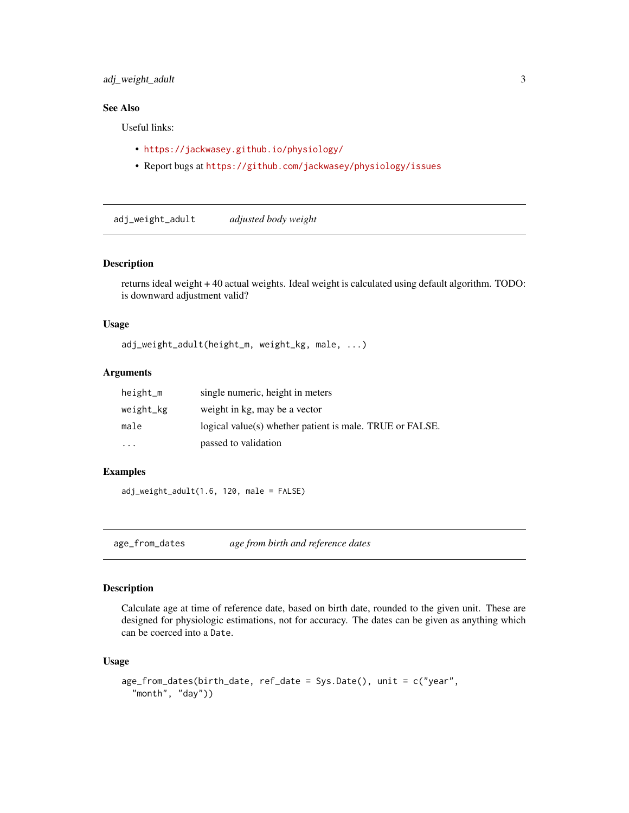### <span id="page-2-0"></span>adj\_weight\_adult 3

### See Also

Useful links:

- <https://jackwasey.github.io/physiology/>
- Report bugs at <https://github.com/jackwasey/physiology/issues>

adj\_weight\_adult *adjusted body weight*

#### Description

returns ideal weight + 40 actual weights. Ideal weight is calculated using default algorithm. TODO: is downward adjustment valid?

#### Usage

adj\_weight\_adult(height\_m, weight\_kg, male, ...)

#### Arguments

| height_m  | single numeric, height in meters                         |
|-----------|----------------------------------------------------------|
| weight_kg | weight in kg, may be a vector                            |
| male      | logical value(s) whether patient is male. TRUE or FALSE. |
| $\cdots$  | passed to validation                                     |

### Examples

adj\_weight\_adult(1.6, 120, male = FALSE)

age\_from\_dates *age from birth and reference dates*

#### Description

Calculate age at time of reference date, based on birth date, rounded to the given unit. These are designed for physiologic estimations, not for accuracy. The dates can be given as anything which can be coerced into a Date.

### Usage

```
age_from_dates(birth_date, ref_date = Sys.Date(), unit = c("year",
  "month", "day"))
```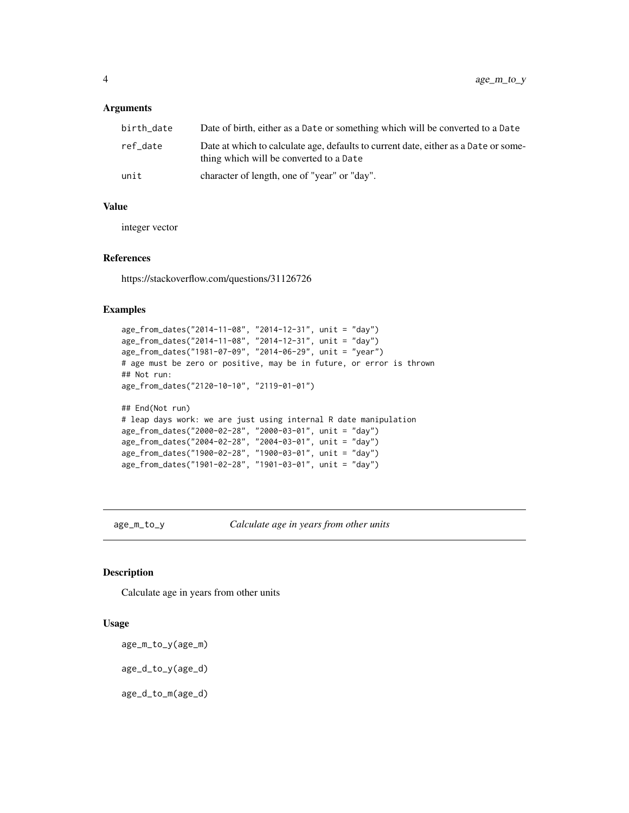#### <span id="page-3-0"></span>**Arguments**

| birth date | Date of birth, either as a Date or something which will be converted to a Date                                                 |
|------------|--------------------------------------------------------------------------------------------------------------------------------|
| ref date   | Date at which to calculate age, defaults to current date, either as a Date or some-<br>thing which will be converted to a Date |
| unit       | character of length, one of "year" or "day".                                                                                   |

### Value

integer vector

#### References

https://stackoverflow.com/questions/31126726

### Examples

```
age_from_dates("2014-11-08", "2014-12-31", unit = "day")
age_from_dates("2014-11-08", "2014-12-31", unit = "day")
age_from_dates("1981-07-09", "2014-06-29", unit = "year")
# age must be zero or positive, may be in future, or error is thrown
## Not run:
age_from_dates("2120-10-10", "2119-01-01")
## End(Not run)
# leap days work: we are just using internal R date manipulation
age_from_dates("2000-02-28", "2000-03-01", unit = "day")
age_from_dates("2004-02-28", "2004-03-01", unit = "day")
age_from_dates("1900-02-28", "1900-03-01", unit = "day")
age_from_dates("1901-02-28", "1901-03-01", unit = "day")
```
age\_m\_to\_y *Calculate age in years from other units*

#### Description

Calculate age in years from other units

#### Usage

age\_m\_to\_y(age\_m) age\_d\_to\_y(age\_d) age\_d\_to\_m(age\_d)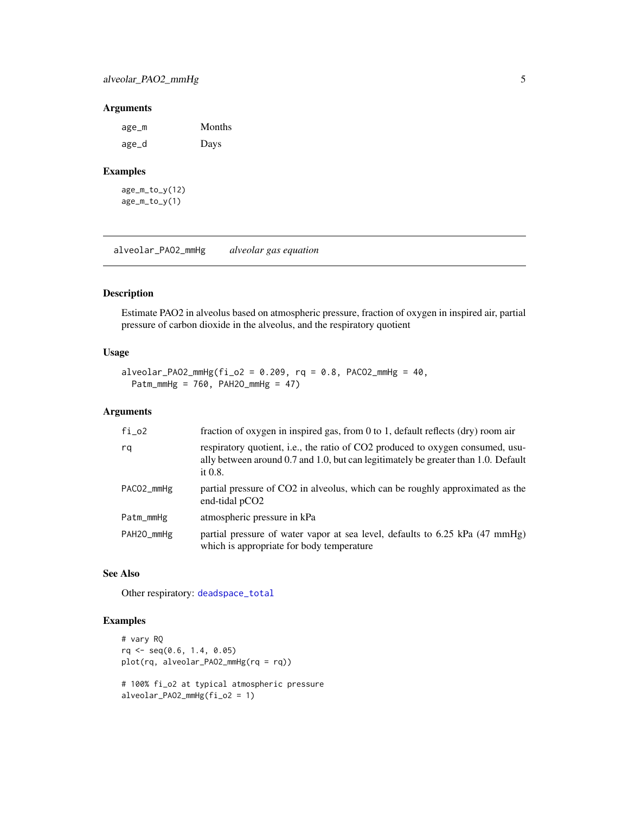### <span id="page-4-0"></span>Arguments

| age_m | Months |
|-------|--------|
| age_d | Days   |

### Examples

age\_m\_to\_y(12) age\_m\_to\_y(1)

<span id="page-4-1"></span>alveolar\_PAO2\_mmHg *alveolar gas equation*

### Description

Estimate PAO2 in alveolus based on atmospheric pressure, fraction of oxygen in inspired air, partial pressure of carbon dioxide in the alveolus, and the respiratory quotient

#### Usage

```
alveolar_PAO2_mmHg(fi_02 = 0.209, rq = 0.8, PACO2_mmHg = 40,Patm_mmHg = 760, PAH2O_mmHg = 47)
```
### Arguments

| $fi_02$    | fraction of oxygen in inspired gas, from 0 to 1, default reflects (dry) room air                                                                                                   |
|------------|------------------------------------------------------------------------------------------------------------------------------------------------------------------------------------|
| rq         | respiratory quotient, i.e., the ratio of CO2 produced to oxygen consumed, usu-<br>ally between around 0.7 and 1.0, but can legitimately be greater than 1.0. Default<br>it $0.8$ . |
| PACO2_mmHg | partial pressure of CO2 in alveolus, which can be roughly approximated as the<br>end-tidal pCO <sub>2</sub>                                                                        |
| Patm_mmHg  | atmospheric pressure in kPa                                                                                                                                                        |
| PAH20_mmHg | partial pressure of water vapor at sea level, defaults to 6.25 kPa (47 mmHg)<br>which is appropriate for body temperature                                                          |

### See Also

Other respiratory: [deadspace\\_total](#page-10-1)

```
# vary RQ
rq <- seq(0.6, 1.4, 0.05)
plot(rq, alveolar_PAO2_mmHg(rq = rq))
# 100% fi_o2 at typical atmospheric pressure
alveolar_PAO2_mmHg(fi_o2 = 1)
```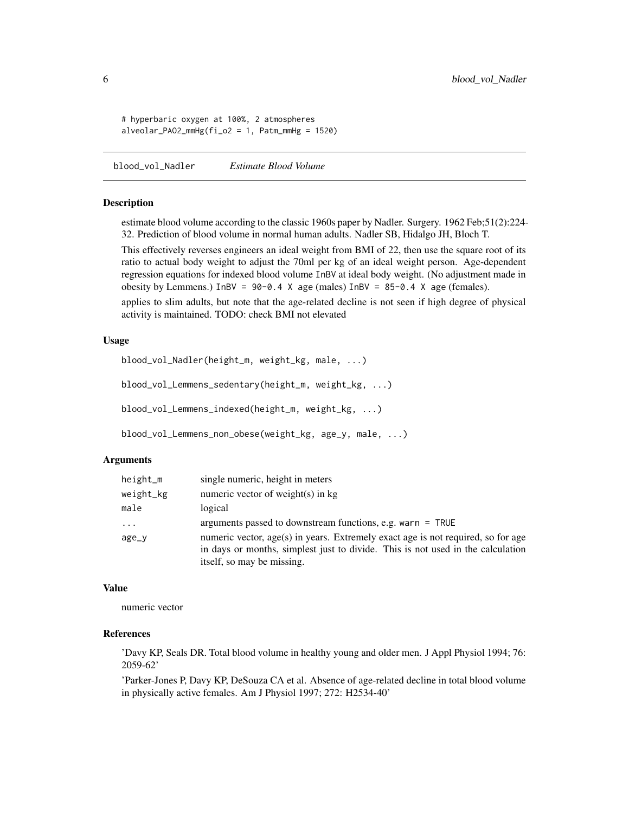```
# hyperbaric oxygen at 100%, 2 atmospheres
alveolar_PAO2_mmHg(fi_o2 = 1, Patm_mmHg = 1520)
```
blood\_vol\_Nadler *Estimate Blood Volume*

#### Description

estimate blood volume according to the classic 1960s paper by Nadler. Surgery. 1962 Feb;51(2):224- 32. Prediction of blood volume in normal human adults. Nadler SB, Hidalgo JH, Bloch T.

This effectively reverses engineers an ideal weight from BMI of 22, then use the square root of its ratio to actual body weight to adjust the 70ml per kg of an ideal weight person. Age-dependent regression equations for indexed blood volume InBV at ideal body weight. (No adjustment made in obesity by Lemmens.) InBV =  $90-0.4$  X age (males) InBV =  $85-0.4$  X age (females).

applies to slim adults, but note that the age-related decline is not seen if high degree of physical activity is maintained. TODO: check BMI not elevated

#### Usage

```
blood_vol_Nadler(height_m, weight_kg, male, ...)
blood_vol_Lemmens_sedentary(height_m, weight_kg, ...)
blood_vol_Lemmens_indexed(height_m, weight_kg, ...)
blood_vol_Lemmens_non_obese(weight_kg, age_y, male, ...)
```
#### Arguments

| height_m  | single numeric, height in meters                                                                                                                                                                  |
|-----------|---------------------------------------------------------------------------------------------------------------------------------------------------------------------------------------------------|
| weight_kg | numeric vector of weight(s) in $kg$                                                                                                                                                               |
| male      | logical                                                                                                                                                                                           |
| $\ddots$  | arguments passed to downstream functions, e.g. warn $=$ TRUE                                                                                                                                      |
| age_y     | numeric vector, age(s) in years. Extremely exact age is not required, so for age<br>in days or months, simplest just to divide. This is not used in the calculation<br>itself, so may be missing. |

#### Value

numeric vector

### References

'Davy KP, Seals DR. Total blood volume in healthy young and older men. J Appl Physiol 1994; 76: 2059-62'

'Parker-Jones P, Davy KP, DeSouza CA et al. Absence of age-related decline in total blood volume in physically active females. Am J Physiol 1997; 272: H2534-40'

<span id="page-5-0"></span>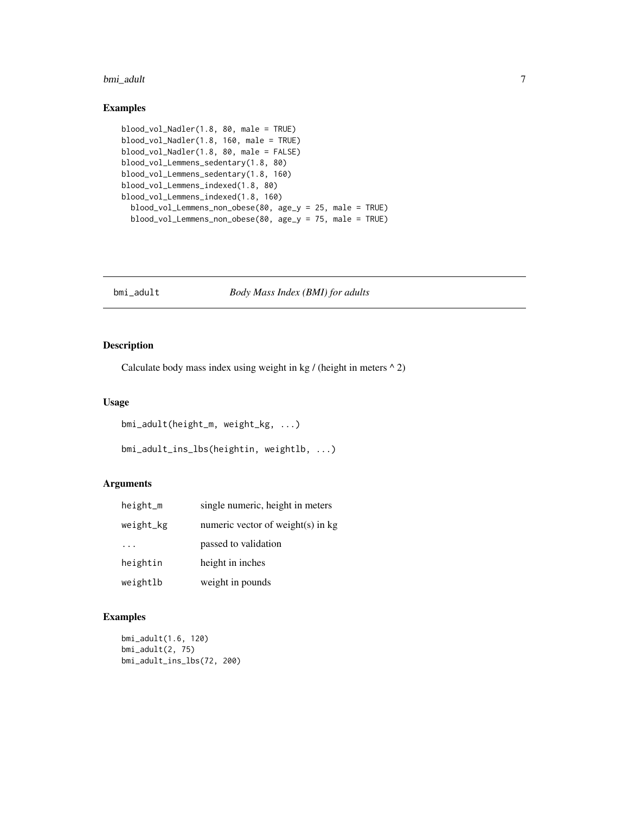#### <span id="page-6-0"></span>bmi\_adult 7

### Examples

```
blood_vol_Nadler(1.8, 80, male = TRUE)
blood_vol_Nadler(1.8, 160, male = TRUE)
blood_vol_Nadler(1.8, 80, male = FALSE)
blood_vol_Lemmens_sedentary(1.8, 80)
blood_vol_Lemmens_sedentary(1.8, 160)
blood_vol_Lemmens_indexed(1.8, 80)
blood_vol_Lemmens_indexed(1.8, 160)
  blood_vol_Lemmens_non_obese(80, age_y = 25, male = TRUE)
  blood_vol_Lemmens_non_obese(80, age_y = 75, male = TRUE)
```
bmi\_adult *Body Mass Index (BMI) for adults*

### Description

Calculate body mass index using weight in kg / (height in meters  $\wedge$  2)

### Usage

```
bmi_adult(height_m, weight_kg, ...)
```

```
bmi_adult_ins_lbs(heightin, weightlb, ...)
```
### Arguments

| height_m  | single numeric, height in meters    |
|-----------|-------------------------------------|
| weight_kg | numeric vector of weight(s) in $kg$ |
| $\cdot$   | passed to validation                |
| heightin  | height in inches                    |
| weightlb  | weight in pounds                    |

```
bmi_adult(1.6, 120)
bmi_adult(2, 75)
bmi_adult_ins_lbs(72, 200)
```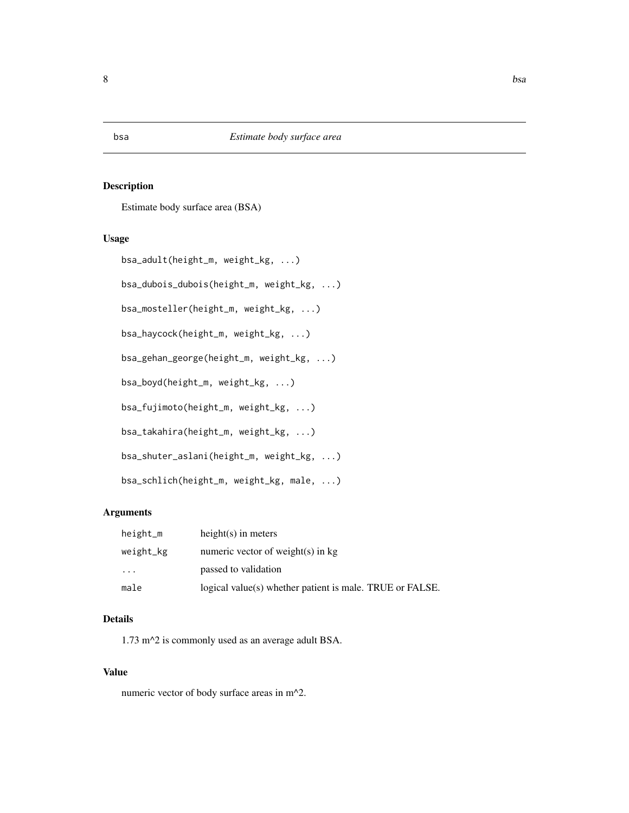<span id="page-7-0"></span>Estimate body surface area (BSA)

### Usage

```
bsa_adult(height_m, weight_kg, ...)
```
bsa\_dubois\_dubois(height\_m, weight\_kg, ...)

bsa\_mosteller(height\_m, weight\_kg, ...)

bsa\_haycock(height\_m, weight\_kg, ...)

bsa\_gehan\_george(height\_m, weight\_kg, ...)

bsa\_boyd(height\_m, weight\_kg, ...)

bsa\_fujimoto(height\_m, weight\_kg, ...)

bsa\_takahira(height\_m, weight\_kg, ...)

bsa\_shuter\_aslani(height\_m, weight\_kg, ...)

bsa\_schlich(height\_m, weight\_kg, male, ...)

### Arguments

| height_m  | $height(s)$ in meters                                    |
|-----------|----------------------------------------------------------|
| weight_kg | numeric vector of weight(s) in $kg$                      |
| $\cdots$  | passed to validation                                     |
| male      | logical value(s) whether patient is male. TRUE or FALSE. |

### Details

1.73 m^2 is commonly used as an average adult BSA.

### Value

numeric vector of body surface areas in m^2.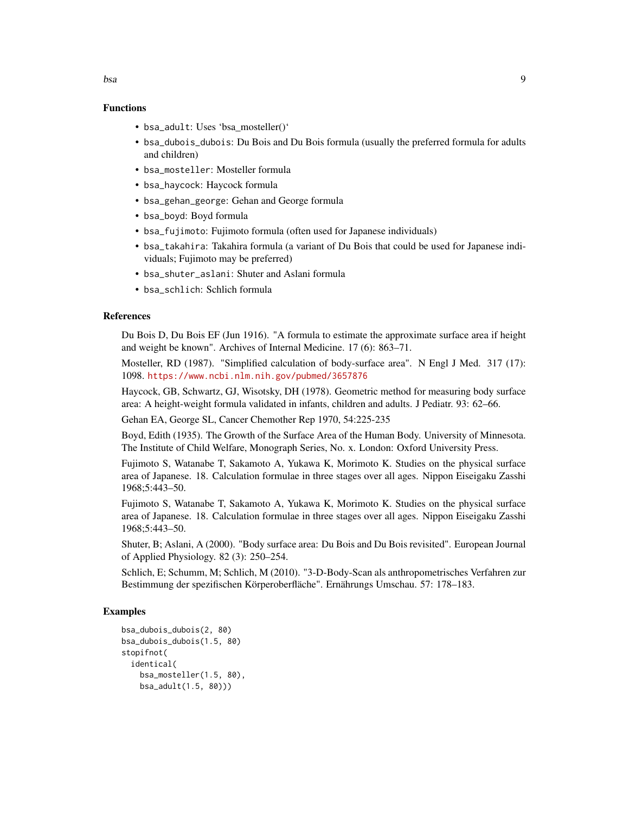- bsa\_adult: Uses 'bsa\_mosteller()'
- bsa\_dubois\_dubois: Du Bois and Du Bois formula (usually the preferred formula for adults and children)
- bsa\_mosteller: Mosteller formula
- bsa\_haycock: Haycock formula
- bsa\_gehan\_george: Gehan and George formula
- bsa\_boyd: Boyd formula
- bsa\_fujimoto: Fujimoto formula (often used for Japanese individuals)
- bsa\_takahira: Takahira formula (a variant of Du Bois that could be used for Japanese individuals; Fujimoto may be preferred)
- bsa\_shuter\_aslani: Shuter and Aslani formula
- bsa\_schlich: Schlich formula

### References

Du Bois D, Du Bois EF (Jun 1916). "A formula to estimate the approximate surface area if height and weight be known". Archives of Internal Medicine. 17 (6): 863–71.

Mosteller, RD (1987). "Simplified calculation of body-surface area". N Engl J Med. 317 (17): 1098. <https://www.ncbi.nlm.nih.gov/pubmed/3657876>

Haycock, GB, Schwartz, GJ, Wisotsky, DH (1978). Geometric method for measuring body surface area: A height-weight formula validated in infants, children and adults. J Pediatr. 93: 62–66.

Gehan EA, George SL, Cancer Chemother Rep 1970, 54:225-235

Boyd, Edith (1935). The Growth of the Surface Area of the Human Body. University of Minnesota. The Institute of Child Welfare, Monograph Series, No. x. London: Oxford University Press.

Fujimoto S, Watanabe T, Sakamoto A, Yukawa K, Morimoto K. Studies on the physical surface area of Japanese. 18. Calculation formulae in three stages over all ages. Nippon Eiseigaku Zasshi 1968;5:443–50.

Fujimoto S, Watanabe T, Sakamoto A, Yukawa K, Morimoto K. Studies on the physical surface area of Japanese. 18. Calculation formulae in three stages over all ages. Nippon Eiseigaku Zasshi 1968;5:443–50.

Shuter, B; Aslani, A (2000). "Body surface area: Du Bois and Du Bois revisited". European Journal of Applied Physiology. 82 (3): 250–254.

Schlich, E; Schumm, M; Schlich, M (2010). "3-D-Body-Scan als anthropometrisches Verfahren zur Bestimmung der spezifischen Körperoberfläche". Ernährungs Umschau. 57: 178–183.

```
bsa_dubois_dubois(2, 80)
bsa_dubois_dubois(1.5, 80)
stopifnot(
 identical(
    bsa_mosteller(1.5, 80),
    bsa_adult(1.5, 80)))
```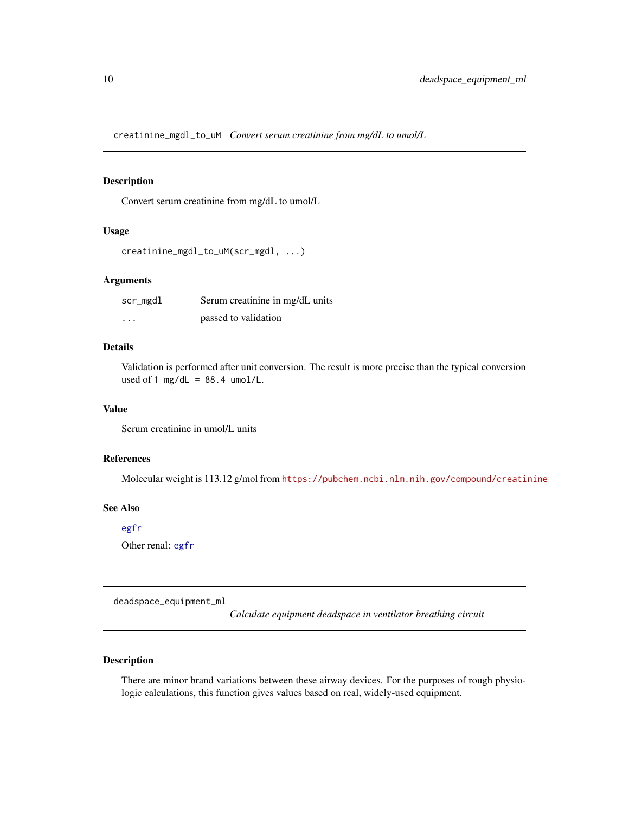<span id="page-9-1"></span><span id="page-9-0"></span>creatinine\_mgdl\_to\_uM *Convert serum creatinine from mg/dL to umol/L*

### Description

Convert serum creatinine from mg/dL to umol/L

### Usage

```
creatinine_mgdl_to_uM(scr_mgdl, ...)
```
#### Arguments

| scr_mgdl | Serum creatinine in mg/dL units |
|----------|---------------------------------|
| $\cdot$  | passed to validation            |

### Details

Validation is performed after unit conversion. The result is more precise than the typical conversion used of 1 mg/dL =  $88.4$  umol/L.

### Value

Serum creatinine in umol/L units

### References

Molecular weight is 113.12 g/mol from <https://pubchem.ncbi.nlm.nih.gov/compound/creatinine>

### See Also

#### [egfr](#page-12-1)

Other renal: [egfr](#page-12-1)

deadspace\_equipment\_ml

*Calculate equipment deadspace in ventilator breathing circuit*

### Description

There are minor brand variations between these airway devices. For the purposes of rough physiologic calculations, this function gives values based on real, widely-used equipment.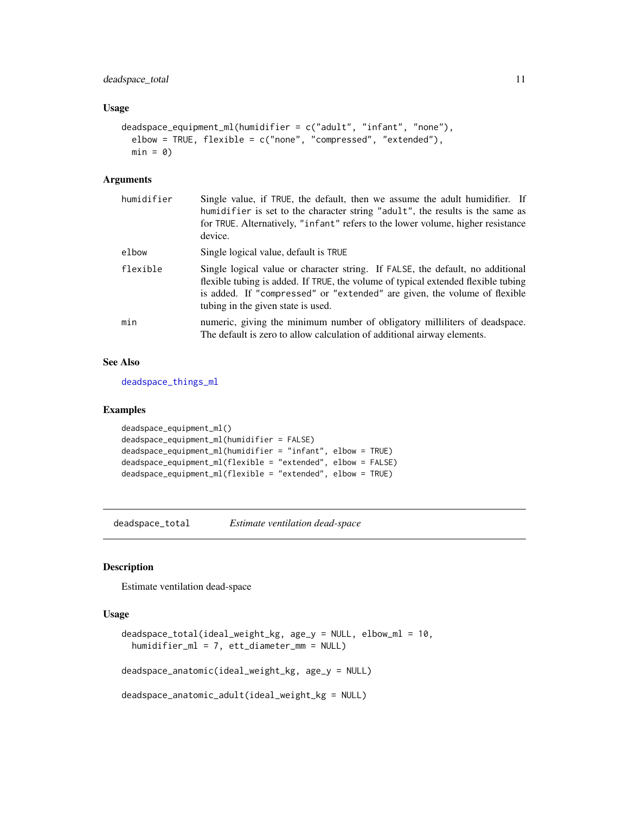### <span id="page-10-0"></span>Usage

```
deadspace_equipment_ml(humidifier = c("adult", "infant", "none"),
  elbow = TRUE, flexible = c("none", "compressed", "extended"),
 min = 0
```
### Arguments

| humidifier | Single value, if TRUE, the default, then we assume the adult humidifier. If<br>humidifier is set to the character string "adult", the results is the same as<br>for TRUE. Alternatively, "infant" refers to the lower volume, higher resistance<br>device.                             |
|------------|----------------------------------------------------------------------------------------------------------------------------------------------------------------------------------------------------------------------------------------------------------------------------------------|
| elbow      | Single logical value, default is TRUE                                                                                                                                                                                                                                                  |
| flexible   | Single logical value or character string. If FALSE, the default, no additional<br>flexible tubing is added. If TRUE, the volume of typical extended flexible tubing<br>is added. If "compressed" or "extended" are given, the volume of flexible<br>tubing in the given state is used. |
| min        | numeric, giving the minimum number of obligatory milliliters of deadspace.<br>The default is zero to allow calculation of additional airway elements.                                                                                                                                  |

### See Also

[deadspace\\_things\\_ml](#page-0-0)

#### Examples

```
deadspace_equipment_ml()
deadspace_equipment_ml(humidifier = FALSE)
deadspace_equipment_ml(humidifier = "infant", elbow = TRUE)
deadspace_equipment_ml(flexible = "extended", elbow = FALSE)
deadspace_equipment_ml(flexible = "extended", elbow = TRUE)
```
<span id="page-10-1"></span>deadspace\_total *Estimate ventilation dead-space*

### Description

Estimate ventilation dead-space

#### Usage

```
deadspace_total(ideal_weight_kg, age_y = NULL, elbow_ml = 10,
 humidifier_ml = 7, ett_diameter_mm = NULL)
deadspace_anatomic(ideal_weight_kg, age_y = NULL)
```

```
deadspace_anatomic_adult(ideal_weight_kg = NULL)
```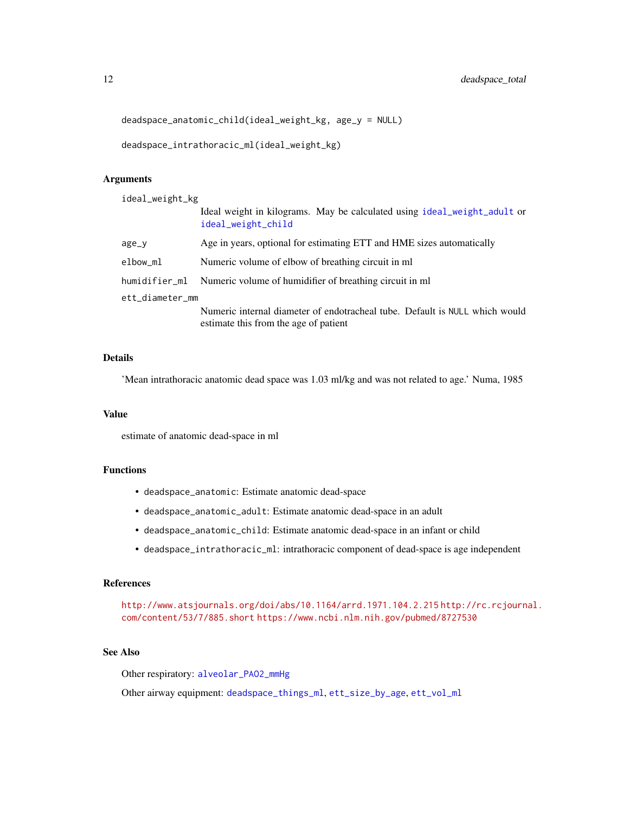```
deadspace_anatomic_child(ideal_weight_kg, age_y = NULL)
```

```
deadspace_intrathoracic_ml(ideal_weight_kg)
```
#### Arguments

ideal\_weight\_kg

|                 | Ideal weight in kilograms. May be calculated using ideal_weight_adult or<br>ideal_weight_child                       |  |
|-----------------|----------------------------------------------------------------------------------------------------------------------|--|
| age_y           | Age in years, optional for estimating ETT and HME sizes automatically                                                |  |
| elbow_ml        | Numeric volume of elbow of breathing circuit in ml                                                                   |  |
|                 | humidifier_ml Numeric volume of humidifier of breathing circuit in ml                                                |  |
| ett_diameter_mm |                                                                                                                      |  |
|                 | Numeric internal diameter of endotracheal tube. Default is NULL which would<br>estimate this from the age of patient |  |

### Details

'Mean intrathoracic anatomic dead space was 1.03 ml/kg and was not related to age.' Numa, 1985

#### Value

estimate of anatomic dead-space in ml

### Functions

- deadspace\_anatomic: Estimate anatomic dead-space
- deadspace\_anatomic\_adult: Estimate anatomic dead-space in an adult
- deadspace\_anatomic\_child: Estimate anatomic dead-space in an infant or child
- deadspace\_intrathoracic\_ml: intrathoracic component of dead-space is age independent

### References

<http://www.atsjournals.org/doi/abs/10.1164/arrd.1971.104.2.215> [http://rc.rcjourn](http://rc.rcjournal.com/content/53/7/885.short)al. [com/content/53/7/885.short](http://rc.rcjournal.com/content/53/7/885.short) <https://www.ncbi.nlm.nih.gov/pubmed/8727530>

### See Also

Other respiratory: [alveolar\\_PAO2\\_mmHg](#page-4-1)

Other airway equipment: [deadspace\\_things\\_ml](#page-0-0), [ett\\_size\\_by\\_age](#page-15-1), [ett\\_vol\\_ml](#page-16-1)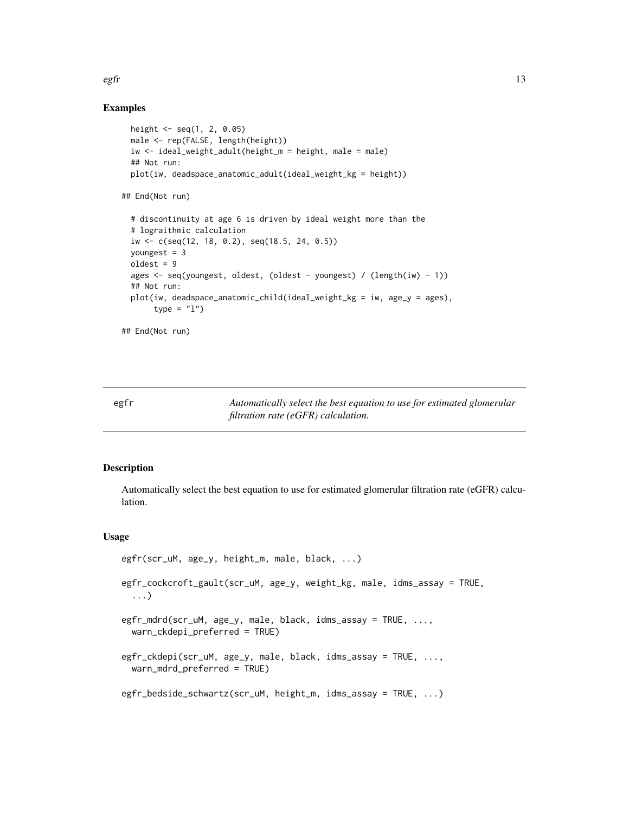<span id="page-12-0"></span> $\epsilon$ gfr  $\qquad$  13

### Examples

```
height <- seq(1, 2, 0.05)
 male <- rep(FALSE, length(height))
 iw <- ideal_weight_adult(height_m = height, male = male)
 ## Not run:
 plot(iw, deadspace_anatomic_adult(ideal_weight_kg = height))
## End(Not run)
 # discontinuity at age 6 is driven by ideal weight more than the
 # lograithmic calculation
 iw <- c(seq(12, 18, 0.2), seq(18.5, 24, 0.5))
 youngest = 3
 oldest = 9
 ages <- seq(youngest, oldest, (oldest - youngest) / (length(iw) - 1))
 ## Not run:
 plot(iw, deadspace_anatomic_child(ideal_weight_kg = iw, age_y = ages),
      type = "1")
```
## End(Not run)

<span id="page-12-1"></span>egfr *Automatically select the best equation to use for estimated glomerular filtration rate (eGFR) calculation.*

### <span id="page-12-2"></span>Description

Automatically select the best equation to use for estimated glomerular filtration rate (eGFR) calculation.

#### Usage

```
egfr(scr_uM, age_y, height_m, male, black, ...)
egfr_cockcroft_gault(scr_uM, age_y, weight_kg, male, idms_assay = TRUE,
  ...)
egfr_mdrd(scr_uM, age_y, male, black, idms_assay = TRUE, ...,
 warn_ckdepi_preferred = TRUE)
egfr_ckdepi(scr_uM, age_y, male, black, idms_assay = TRUE, ...,
 warn_mdrd_preferred = TRUE)
egfr_bedside_schwartz(scr_uM, height_m, idms_assay = TRUE, ...)
```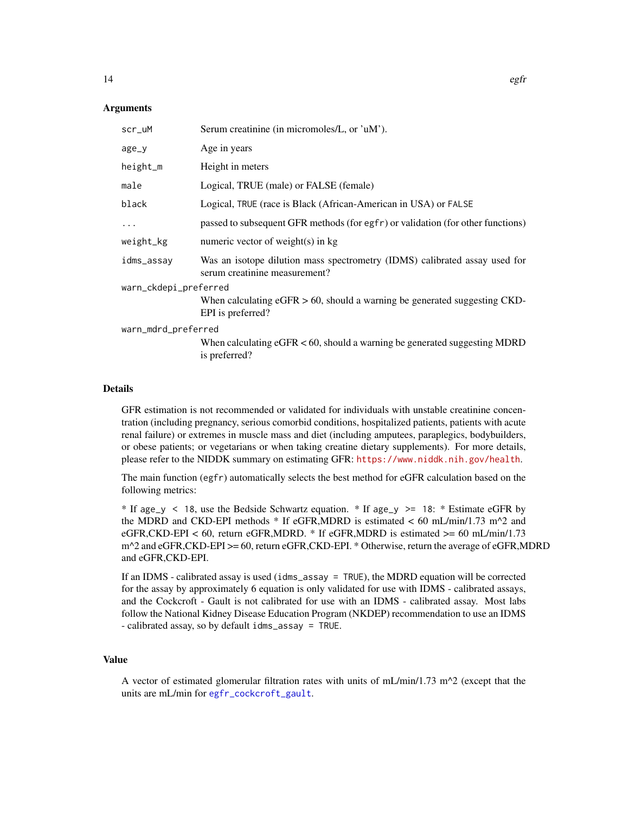### <span id="page-13-0"></span>Arguments

| Serum creatinine (in micromoles/L, or 'uM').                                                                |  |  |
|-------------------------------------------------------------------------------------------------------------|--|--|
| Age in years                                                                                                |  |  |
| Height in meters                                                                                            |  |  |
| Logical, TRUE (male) or FALSE (female)                                                                      |  |  |
| Logical, TRUE (race is Black (African-American in USA) or FALSE                                             |  |  |
| passed to subsequent GFR methods (for egfr) or validation (for other functions)                             |  |  |
| numeric vector of weight(s) in $kg$                                                                         |  |  |
| Was an isotope dilution mass spectrometry (IDMS) calibrated assay used for<br>serum creatinine measurement? |  |  |
| warn_ckdepi_preferred                                                                                       |  |  |
| When calculating $eGFR > 60$ , should a warning be generated suggesting CKD-<br>EPI is preferred?           |  |  |
| warn_mdrd_preferred                                                                                         |  |  |
| When calculating $eGFR < 60$ , should a warning be generated suggesting MDRD<br>is preferred?               |  |  |
|                                                                                                             |  |  |

### Details

GFR estimation is not recommended or validated for individuals with unstable creatinine concentration (including pregnancy, serious comorbid conditions, hospitalized patients, patients with acute renal failure) or extremes in muscle mass and diet (including amputees, paraplegics, bodybuilders, or obese patients; or vegetarians or when taking creatine dietary supplements). For more details, please refer to the NIDDK summary on estimating GFR: <https://www.niddk.nih.gov/health>.

The main function (egfr) automatically selects the best method for eGFR calculation based on the following metrics:

\* If age\_y < 18, use the Bedside Schwartz equation. \* If age\_y >= 18: \* Estimate eGFR by the MDRD and CKD-EPI methods  $*$  If eGFR, MDRD is estimated  $<$  60 mL/min/1.73 m<sup> $\lambda$ </sup>2 and eGFR,CKD-EPI < 60, return eGFR,MDRD. \* If eGFR,MDRD is estimated > = 60 mL/min/1.73 m<sup> $\gamma$ </sup>2 and eGFR,CKD-EPI >= 60, return eGFR,CKD-EPI. \* Otherwise, return the average of eGFR,MDRD and eGFR,CKD-EPI.

If an IDMS - calibrated assay is used (idms\_assay = TRUE), the MDRD equation will be corrected for the assay by approximately 6 equation is only validated for use with IDMS - calibrated assays, and the Cockcroft - Gault is not calibrated for use with an IDMS - calibrated assay. Most labs follow the National Kidney Disease Education Program (NKDEP) recommendation to use an IDMS - calibrated assay, so by default idms\_assay = TRUE.

### Value

A vector of estimated glomerular filtration rates with units of mL/min/1.73 m^2 (except that the units are mL/min for [egfr\\_cockcroft\\_gault](#page-12-2).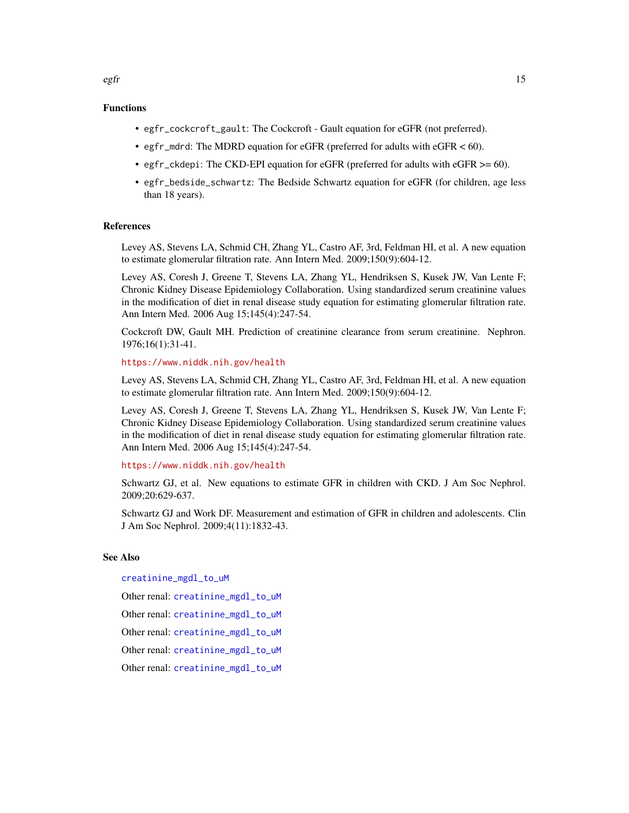- <span id="page-14-0"></span>• egfr\_cockcroft\_gault: The Cockcroft - Gault equation for eGFR (not preferred).
- egfr\_mdrd: The MDRD equation for eGFR (preferred for adults with eGFR < 60).
- egfr\_ckdepi: The CKD-EPI equation for eGFR (preferred for adults with eGFR >= 60).
- egfr\_bedside\_schwartz: The Bedside Schwartz equation for eGFR (for children, age less than 18 years).

### References

Levey AS, Stevens LA, Schmid CH, Zhang YL, Castro AF, 3rd, Feldman HI, et al. A new equation to estimate glomerular filtration rate. Ann Intern Med. 2009;150(9):604-12.

Levey AS, Coresh J, Greene T, Stevens LA, Zhang YL, Hendriksen S, Kusek JW, Van Lente F; Chronic Kidney Disease Epidemiology Collaboration. Using standardized serum creatinine values in the modification of diet in renal disease study equation for estimating glomerular filtration rate. Ann Intern Med. 2006 Aug 15;145(4):247-54.

Cockcroft DW, Gault MH. Prediction of creatinine clearance from serum creatinine. Nephron. 1976;16(1):31-41.

#### <https://www.niddk.nih.gov/health>

Levey AS, Stevens LA, Schmid CH, Zhang YL, Castro AF, 3rd, Feldman HI, et al. A new equation to estimate glomerular filtration rate. Ann Intern Med. 2009;150(9):604-12.

Levey AS, Coresh J, Greene T, Stevens LA, Zhang YL, Hendriksen S, Kusek JW, Van Lente F; Chronic Kidney Disease Epidemiology Collaboration. Using standardized serum creatinine values in the modification of diet in renal disease study equation for estimating glomerular filtration rate. Ann Intern Med. 2006 Aug 15;145(4):247-54.

#### <https://www.niddk.nih.gov/health>

Schwartz GJ, et al. New equations to estimate GFR in children with CKD. J Am Soc Nephrol. 2009;20:629-637.

Schwartz GJ and Work DF. Measurement and estimation of GFR in children and adolescents. Clin J Am Soc Nephrol. 2009;4(11):1832-43.

### See Also

[creatinine\\_mgdl\\_to\\_uM](#page-9-1)

Other renal: [creatinine\\_mgdl\\_to\\_uM](#page-9-1)

Other renal: [creatinine\\_mgdl\\_to\\_uM](#page-9-1)

Other renal: [creatinine\\_mgdl\\_to\\_uM](#page-9-1)

Other renal: [creatinine\\_mgdl\\_to\\_uM](#page-9-1)

Other renal: [creatinine\\_mgdl\\_to\\_uM](#page-9-1)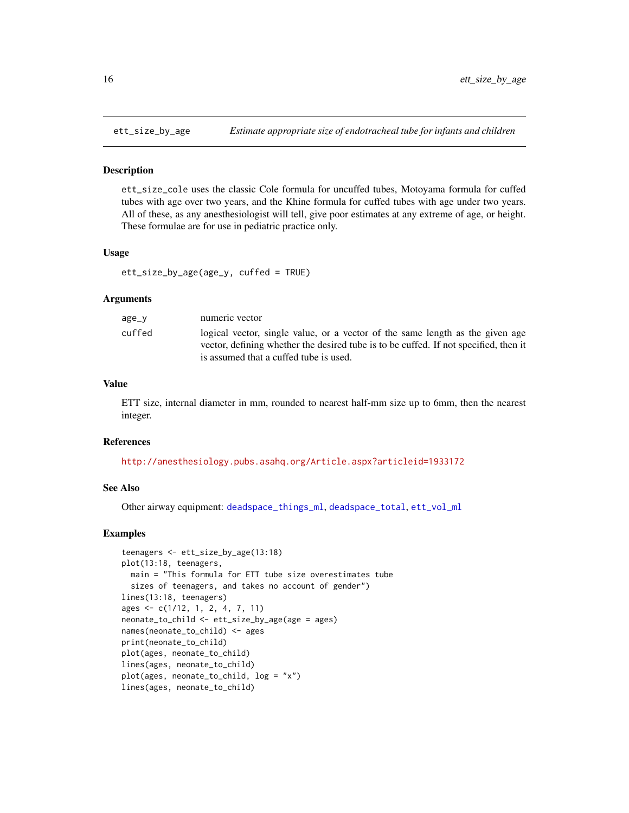<span id="page-15-1"></span><span id="page-15-0"></span>

ett\_size\_cole uses the classic Cole formula for uncuffed tubes, Motoyama formula for cuffed tubes with age over two years, and the Khine formula for cuffed tubes with age under two years. All of these, as any anesthesiologist will tell, give poor estimates at any extreme of age, or height. These formulae are for use in pediatric practice only.

### Usage

ett\_size\_by\_age(age\_y, cuffed = TRUE)

### Arguments

| age_y  | numeric vector                                                                                                                                                        |
|--------|-----------------------------------------------------------------------------------------------------------------------------------------------------------------------|
| cuffed | logical vector, single value, or a vector of the same length as the given age<br>vector, defining whether the desired tube is to be cuffed. If not specified, then it |
|        | is assumed that a cuffed tube is used.                                                                                                                                |

#### Value

ETT size, internal diameter in mm, rounded to nearest half-mm size up to 6mm, then the nearest integer.

#### References

<http://anesthesiology.pubs.asahq.org/Article.aspx?articleid=1933172>

#### See Also

Other airway equipment: [deadspace\\_things\\_ml](#page-0-0), [deadspace\\_total](#page-10-1), [ett\\_vol\\_ml](#page-16-1)

```
teenagers <- ett_size_by_age(13:18)
plot(13:18, teenagers,
  main = "This formula for ETT tube size overestimates tube
  sizes of teenagers, and takes no account of gender")
lines(13:18, teenagers)
ages <- c(1/12, 1, 2, 4, 7, 11)
neonate_to_child <- ett_size_by_age(age = ages)
names(neonate_to_child) <- ages
print(neonate_to_child)
plot(ages, neonate_to_child)
lines(ages, neonate_to_child)
plot(ages, neonate_to_child, log = "x")
lines(ages, neonate_to_child)
```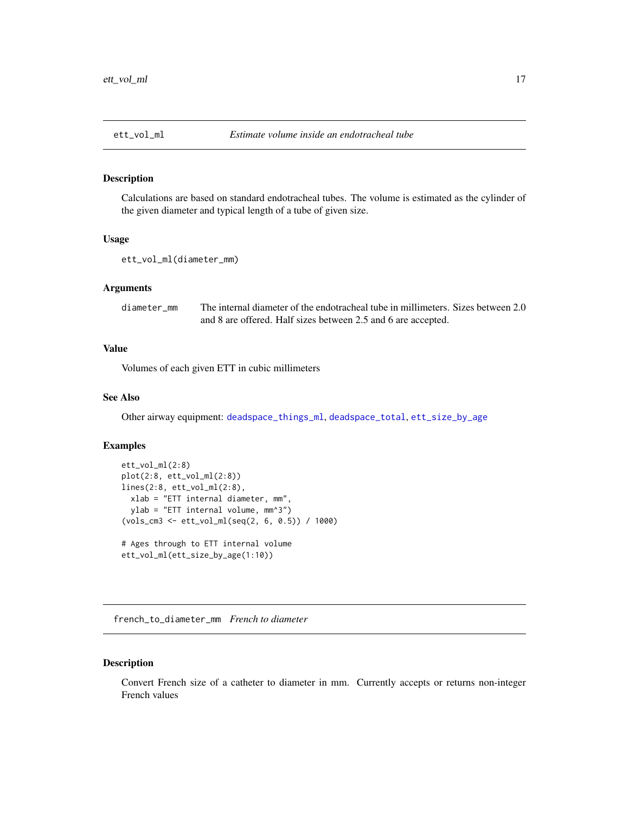<span id="page-16-1"></span><span id="page-16-0"></span>Calculations are based on standard endotracheal tubes. The volume is estimated as the cylinder of the given diameter and typical length of a tube of given size.

#### Usage

```
ett_vol_ml(diameter_mm)
```
### Arguments

diameter\_mm The internal diameter of the endotracheal tube in millimeters. Sizes between 2.0 and 8 are offered. Half sizes between 2.5 and 6 are accepted.

### Value

Volumes of each given ETT in cubic millimeters

### See Also

Other airway equipment: [deadspace\\_things\\_ml](#page-0-0), [deadspace\\_total](#page-10-1), [ett\\_size\\_by\\_age](#page-15-1)

### Examples

```
ett_vol_ml(2:8)
plot(2:8, ett_vol_ml(2:8))
lines(2:8, ett_vol_ml(2:8),
 xlab = "ETT internal diameter, mm",
 ylab = "ETT internal volume, mm^3")
(vols_cm3 <- ett_vol_ml(seq(2, 6, 0.5)) / 1000)
# Ages through to ETT internal volume
ett_vol_ml(ett_size_by_age(1:10))
```
french\_to\_diameter\_mm *French to diameter*

### Description

Convert French size of a catheter to diameter in mm. Currently accepts or returns non-integer French values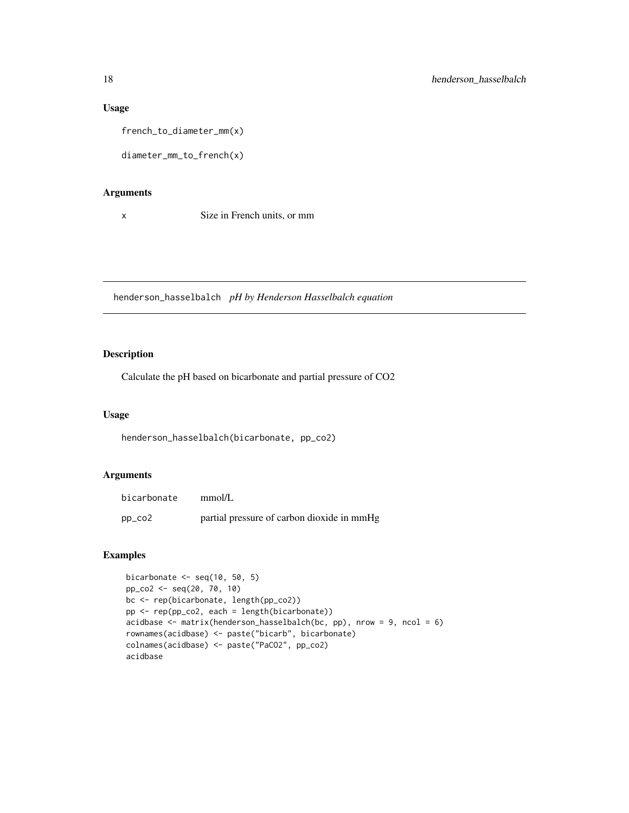### Usage

french\_to\_diameter\_mm(x)

diameter\_mm\_to\_french(x)

### Arguments

x Size in French units, or mm

henderson\_hasselbalch *pH by Henderson Hasselbalch equation*

### Description

Calculate the pH based on bicarbonate and partial pressure of CO2

#### Usage

henderson\_hasselbalch(bicarbonate, pp\_co2)

### Arguments

| bicarbonate         | mmol/L                                     |
|---------------------|--------------------------------------------|
| $pp_{\texttt{C02}}$ | partial pressure of carbon dioxide in mmHg |

```
bicarbonate \leq seq(10, 50, 5)
pp_co2 <- seq(20, 70, 10)
bc <- rep(bicarbonate, length(pp_co2))
pp <- rep(pp_co2, each = length(bicarbonate))
acidbase \leq matrix(henderson_hasselbalch(bc, pp), nrow = 9, ncol = 6)
rownames(acidbase) <- paste("bicarb", bicarbonate)
colnames(acidbase) <- paste("PaCO2", pp_co2)
acidbase
```
<span id="page-17-0"></span>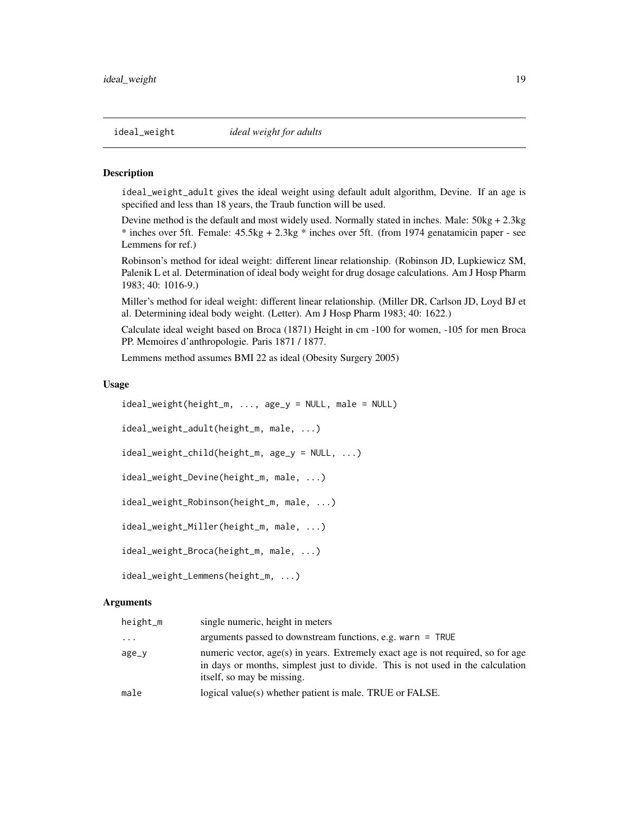<span id="page-18-1"></span><span id="page-18-0"></span>ideal\_weight\_adult gives the ideal weight using default adult algorithm, Devine. If an age is specified and less than 18 years, the Traub function will be used.

Devine method is the default and most widely used. Normally stated in inches. Male: 50kg + 2.3kg \* inches over 5ft. Female: 45.5kg + 2.3kg \* inches over 5ft. (from 1974 genatamicin paper - see Lemmens for ref.)

Robinson's method for ideal weight: different linear relationship. (Robinson JD, Lupkiewicz SM, Palenik L et al. Determination of ideal body weight for drug dosage calculations. Am J Hosp Pharm 1983; 40: 1016-9.)

Miller's method for ideal weight: different linear relationship. (Miller DR, Carlson JD, Loyd BJ et al. Determining ideal body weight. (Letter). Am J Hosp Pharm 1983; 40: 1622.)

Calculate ideal weight based on Broca (1871) Height in cm -100 for women, -105 for men Broca PP. Memoires d'anthropologie. Paris 1871 / 1877.

Lemmens method assumes BMI 22 as ideal (Obesity Surgery 2005)

#### Usage

```
ideal_weight(height_m, ..., age_y = NULL, male = NULL)
ideal_weight_adult(height_m, male, ...)
ideal_weight_child(height_m, age_y = NULL, ...)
ideal_weight_Devine(height_m, male, ...)
ideal_weight_Robinson(height_m, male, ...)
ideal_weight_Miller(height_m, male, ...)
ideal_weight_Broca(height_m, male, ...)
ideal_weight_Lemmens(height_m, ...)
```
#### Arguments

| height_m | single numeric, height in meters                                                                                                                                                                  |
|----------|---------------------------------------------------------------------------------------------------------------------------------------------------------------------------------------------------|
| $\cdot$  | arguments passed to downstream functions, e.g. warn $=$ TRUE                                                                                                                                      |
| age_y    | numeric vector, age(s) in years. Extremely exact age is not required, so for age<br>in days or months, simplest just to divide. This is not used in the calculation<br>itself, so may be missing. |
| male     | logical value(s) whether patient is male. TRUE or FALSE.                                                                                                                                          |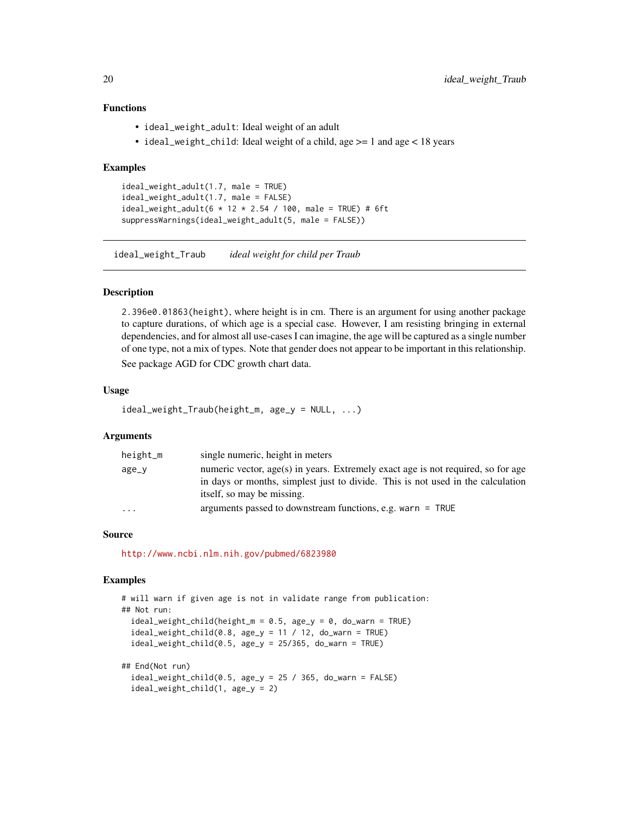### Functions

- ideal\_weight\_adult: Ideal weight of an adult
- ideal\_weight\_child: Ideal weight of a child, age >= 1 and age < 18 years

### Examples

```
ideal_weight_adult(1.7, male = TRUE)
ideal_weight_adult(1.7, male = FALSE)
ideal_weight_adult(6 * 12 * 2.54 / 100, male = TRUE) # 6ft
suppressWarnings(ideal_weight_adult(5, male = FALSE))
```
ideal\_weight\_Traub *ideal weight for child per Traub*

#### Description

2.396e0.01863(height), where height is in cm. There is an argument for using another package to capture durations, of which age is a special case. However, I am resisting bringing in external dependencies, and for almost all use-cases I can imagine, the age will be captured as a single number of one type, not a mix of types. Note that gender does not appear to be important in this relationship.

See package AGD for CDC growth chart data.

### Usage

```
ideal_weight_Traub(height_m, age_y = NULL, ...)
```
### Arguments

| height_m | single numeric, height in meters                                                                                                                                                                  |
|----------|---------------------------------------------------------------------------------------------------------------------------------------------------------------------------------------------------|
| age_y    | numeric vector, age(s) in years. Extremely exact age is not required, so for age<br>in days or months, simplest just to divide. This is not used in the calculation<br>itself, so may be missing. |
| $\cdot$  | arguments passed to downstream functions, e.g. warn $=$ TRUE                                                                                                                                      |

#### Source

<http://www.ncbi.nlm.nih.gov/pubmed/6823980>

```
# will warn if given age is not in validate range from publication:
## Not run:
 ideal\_weight\_child(height_m = 0.5, age_y = 0, do_warn = TRUE)ideal\_weight\_child(0.8, age_y = 11 / 12, do_warn = TRUE)ideal_weight_child(0.5, age_y = 25/365, do_warn = TRUE)
## End(Not run)
```

```
ideal\_weight\_child(0.5, age_y = 25 / 365, do_warn = FALSE)ideal_weight_child(1, age_y = 2)
```
<span id="page-19-0"></span>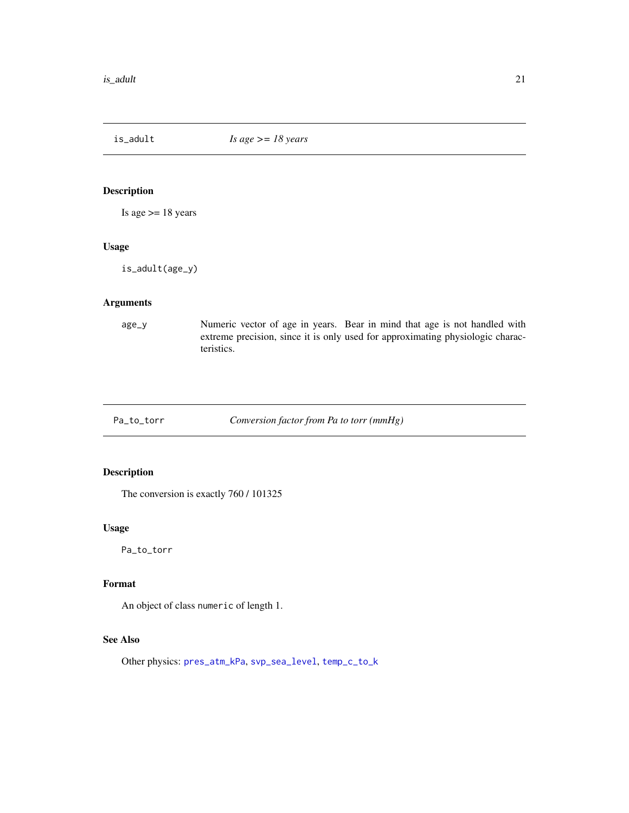<span id="page-20-0"></span>

Is age  $>= 18$  years

#### Usage

is\_adult(age\_y)

#### Arguments

age\_y Numeric vector of age in years. Bear in mind that age is not handled with extreme precision, since it is only used for approximating physiologic characteristics.

<span id="page-20-1"></span>Pa\_to\_torr *Conversion factor from Pa to torr (mmHg)*

### Description

The conversion is exactly 760 / 101325

### Usage

Pa\_to\_torr

### Format

An object of class numeric of length 1.

### See Also

Other physics: [pres\\_atm\\_kPa](#page-21-1), [svp\\_sea\\_level](#page-22-1), [temp\\_c\\_to\\_k](#page-22-2)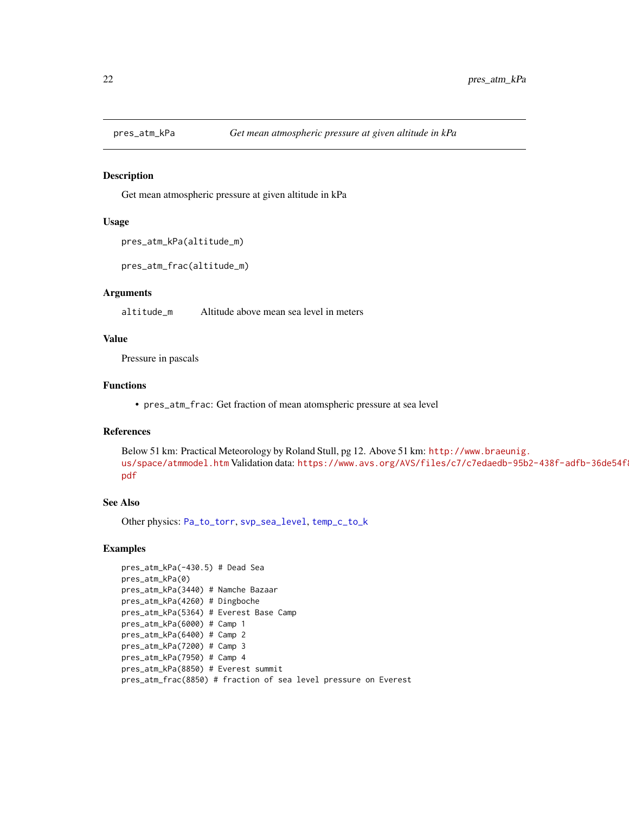<span id="page-21-1"></span><span id="page-21-0"></span>

Get mean atmospheric pressure at given altitude in kPa

#### Usage

```
pres_atm_kPa(altitude_m)
```

```
pres_atm_frac(altitude_m)
```
### Arguments

altitude\_m Altitude above mean sea level in meters

### Value

Pressure in pascals

### Functions

• pres\_atm\_frac: Get fraction of mean atomspheric pressure at sea level

### References

Below 51 km: Practical Meteorology by Roland Stull, pg 12. Above 51 km: [http://www.braeunig.](http://www.braeunig.us/space/atmmodel.htm) [us/space/atmmodel.htm](http://www.braeunig.us/space/atmmodel.htm) Validation data: [https://www.avs.org/AVS/files/c7/c7edaedb-95b](https://www.avs.org/AVS/files/c7/c7edaedb-95b2-438f-adfb-36de54f87b9e.pdf)2-438f-adfb-36de54f [pdf](https://www.avs.org/AVS/files/c7/c7edaedb-95b2-438f-adfb-36de54f87b9e.pdf)

### See Also

Other physics: [Pa\\_to\\_torr](#page-20-1), [svp\\_sea\\_level](#page-22-1), [temp\\_c\\_to\\_k](#page-22-2)

```
pres_atm_kPa(-430.5) # Dead Sea
pres_atm_kPa(0)
pres_atm_kPa(3440) # Namche Bazaar
pres_atm_kPa(4260) # Dingboche
pres_atm_kPa(5364) # Everest Base Camp
pres_atm_kPa(6000) # Camp 1
pres_atm_kPa(6400) # Camp 2
pres_atm_kPa(7200) # Camp 3
pres_atm_kPa(7950) # Camp 4
pres_atm_kPa(8850) # Everest summit
pres_atm_frac(8850) # fraction of sea level pressure on Everest
```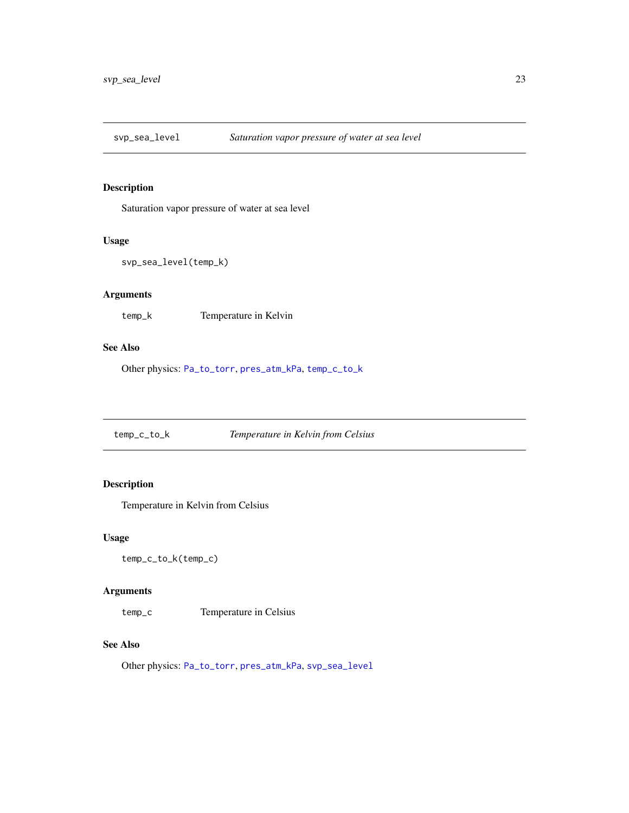<span id="page-22-1"></span><span id="page-22-0"></span>

Saturation vapor pressure of water at sea level

#### Usage

```
svp_sea_level(temp_k)
```
### Arguments

temp\_k Temperature in Kelvin

### See Also

Other physics: [Pa\\_to\\_torr](#page-20-1), [pres\\_atm\\_kPa](#page-21-1), [temp\\_c\\_to\\_k](#page-22-2)

<span id="page-22-2"></span>temp\_c\_to\_k *Temperature in Kelvin from Celsius*

### Description

Temperature in Kelvin from Celsius

### Usage

temp\_c\_to\_k(temp\_c)

### Arguments

temp\_c Temperature in Celsius

### See Also

Other physics: [Pa\\_to\\_torr](#page-20-1), [pres\\_atm\\_kPa](#page-21-1), [svp\\_sea\\_level](#page-22-1)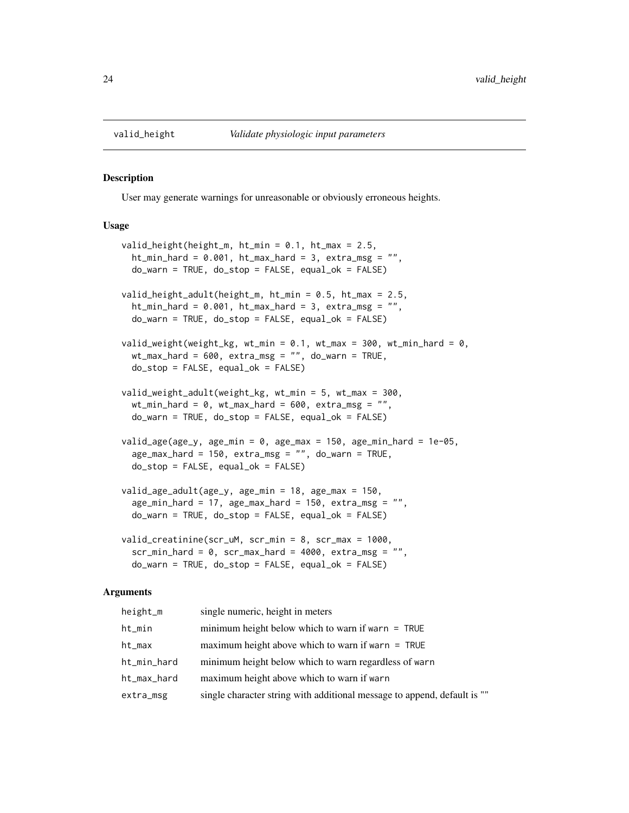<span id="page-23-0"></span>

User may generate warnings for unreasonable or obviously erroneous heights.

### Usage

```
valid_height(height_m, ht_min = 0.1, ht_max = 2.5,
  ht\_min\_hard = 0.001, ht\_max\_hard = 3, extra\_msg = "",do_warn = TRUE, do_stop = FALSE, equal_ok = FALSE)
valid_height_adult(height_m, ht_min = 0.5, ht_max = 2.5,
  ht\_min\_hard = 0.001, ht\_max\_hard = 3, extra\_msg = "",do_warn = TRUE, do_stop = FALSE, equal_ok = FALSE)
valid_weight(weight_kg, wt_min = 0.1, wt_max = 300, wt_min_hard = 0,
  wt_max\_hard = 600, extra_msg = "", do_warn = TRUE,do\_stop = FALSE, equal\_ok = FALSE)valid_weight_adult(weight_kg, wt_min = 5, wt_max = 300,
  wt\_min\_hard = 0, wt\_max\_hard = 600, extra\_msg = "",do_warn = TRUE, do_stop = FALSE, equal_ok = FALSE)
valid_age(age_y, age_min = 0, age_max = 150, age_min_hard = 1e-05,
  age\_max\_hard = 150, extra\_msg = "", do\_warn = TRUE,
  do\_stop = FALSE, equal\_ok = FALSE)valid_age_adult(age_y, age_min = 18, age_max = 150,
  age\_min\_hard = 17, age\_max\_hard = 150, extra\_msg = "",do_warn = TRUE, do_stop = FALSE, equal_ok = FALSE)
valid_creatinine(scr_uM, scr_min = 8, scr_max = 1000,
  scr_{min}hard = 0, scr_max_hard = 4000, extra_msg = "",
  do_warn = TRUE, do_stop = FALSE, equal_ok = FALSE)
```
#### Arguments

| height_m    | single numeric, height in meters                                         |
|-------------|--------------------------------------------------------------------------|
| ht_min      | minimum height below which to warn if warn $=$ TRUE                      |
| ht_max      | maximum height above which to warn if warn $=$ TRUE                      |
| ht_min_hard | minimum height below which to warn regardless of warn                    |
| ht_max_hard | maximum height above which to warn if warn                               |
| extra_msg   | single character string with additional message to append, default is "" |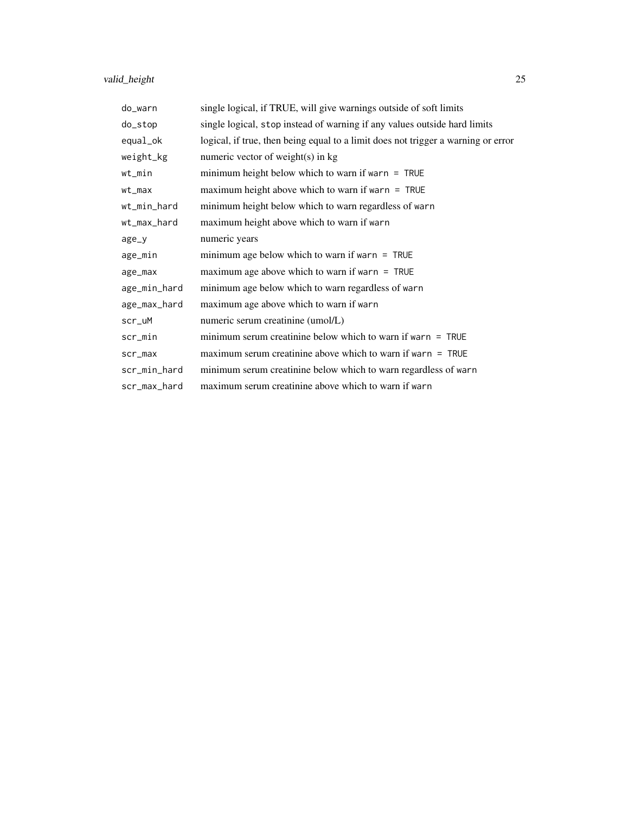## valid\_height 25

| do_warn      | single logical, if TRUE, will give warnings outside of soft limits                |
|--------------|-----------------------------------------------------------------------------------|
| do_stop      | single logical, stop instead of warning if any values outside hard limits         |
| equal_ok     | logical, if true, then being equal to a limit does not trigger a warning or error |
| weight_kg    | numeric vector of weight(s) in kg                                                 |
| wt_min       | minimum height below which to warn if warn $=$ TRUE                               |
| $wt\_max$    | maximum height above which to warn if warn $=$ TRUE                               |
| wt_min_hard  | minimum height below which to warn regardless of warn                             |
| wt_max_hard  | maximum height above which to warn if warn                                        |
| $age_y$      | numeric years                                                                     |
| age_min      | minimum age below which to warn if warn $=$ TRUE                                  |
| age_max      | maximum age above which to warn if warn $=$ TRUE                                  |
| age_min_hard | minimum age below which to warn regardless of warn                                |
| age_max_hard | maximum age above which to warn if warn                                           |
| scr_uM       | numeric serum creatinine (umol/L)                                                 |
| scr_min      | minimum serum creatinine below which to warn if warn $=$ TRUE                     |
| scr_max      | maximum serum creatinine above which to warn if warn $=$ TRUE                     |
| scr_min_hard | minimum serum creatinine below which to warn regardless of warn                   |
| scr_max_hard | maximum serum creatinine above which to warn if warn                              |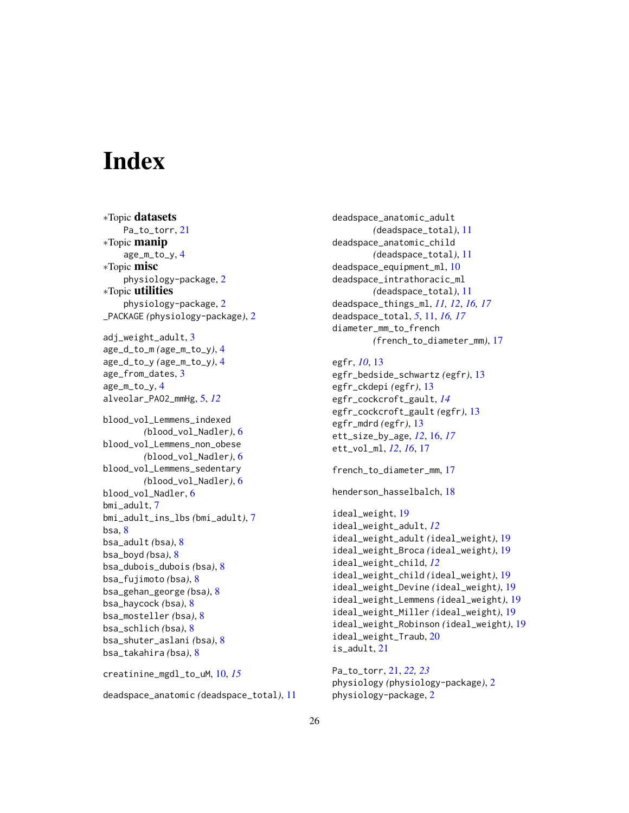# <span id="page-25-0"></span>**Index**

∗Topic datasets Pa\_to\_torr, [21](#page-20-0) ∗Topic manip age\_m\_to\_y, [4](#page-3-0) ∗Topic misc physiology-package, [2](#page-1-0) ∗Topic utilities physiology-package, [2](#page-1-0) \_PACKAGE *(*physiology-package*)*, [2](#page-1-0) adj\_weight\_adult, [3](#page-2-0) age\_d\_to\_m *(*age\_m\_to\_y*)*, [4](#page-3-0) age\_d\_to\_y *(*age\_m\_to\_y*)*, [4](#page-3-0) age\_from\_dates, [3](#page-2-0) age\_m\_to\_y, [4](#page-3-0) alveolar\_PAO2\_mmHg, [5,](#page-4-0) *[12](#page-11-0)* blood\_vol\_Lemmens\_indexed *(*blood\_vol\_Nadler*)*, [6](#page-5-0) blood\_vol\_Lemmens\_non\_obese *(*blood\_vol\_Nadler*)*, [6](#page-5-0) blood\_vol\_Lemmens\_sedentary *(*blood\_vol\_Nadler*)*, [6](#page-5-0) blood\_vol\_Nadler, [6](#page-5-0) bmi\_adult, [7](#page-6-0) bmi\_adult\_ins\_lbs *(*bmi\_adult*)*, [7](#page-6-0) bsa, [8](#page-7-0) bsa\_adult *(*bsa*)*, [8](#page-7-0) bsa\_boyd *(*bsa*)*, [8](#page-7-0) bsa\_dubois\_dubois *(*bsa*)*, [8](#page-7-0) bsa\_fujimoto *(*bsa*)*, [8](#page-7-0) bsa\_gehan\_george *(*bsa*)*, [8](#page-7-0) bsa\_haycock *(*bsa*)*, [8](#page-7-0) bsa\_mosteller *(*bsa*)*, [8](#page-7-0) bsa\_schlich *(*bsa*)*, [8](#page-7-0) bsa\_shuter\_aslani *(*bsa*)*, [8](#page-7-0) bsa\_takahira *(*bsa*)*, [8](#page-7-0) creatinine\_mgdl\_to\_uM, [10,](#page-9-0) *[15](#page-14-0)*

deadspace\_anatomic *(*deadspace\_total*)*, [11](#page-10-0)

deadspace\_anatomic\_adult *(*deadspace\_total*)*, [11](#page-10-0) deadspace\_anatomic\_child *(*deadspace\_total*)*, [11](#page-10-0) deadspace\_equipment\_ml, [10](#page-9-0) deadspace\_intrathoracic\_ml *(*deadspace\_total*)*, [11](#page-10-0) deadspace\_things\_ml, *[11,](#page-10-0) [12](#page-11-0)*, *[16,](#page-15-0) [17](#page-16-0)* deadspace\_total, *[5](#page-4-0)*, [11,](#page-10-0) *[16,](#page-15-0) [17](#page-16-0)* diameter\_mm\_to\_french *(*french\_to\_diameter\_mm*)*, [17](#page-16-0)

### egfr, *[10](#page-9-0)*, [13](#page-12-0) egfr\_bedside\_schwartz *(*egfr*)*, [13](#page-12-0) egfr\_ckdepi *(*egfr*)*, [13](#page-12-0) egfr\_cockcroft\_gault, *[14](#page-13-0)* egfr\_cockcroft\_gault *(*egfr*)*, [13](#page-12-0) egfr\_mdrd *(*egfr*)*, [13](#page-12-0) ett\_size\_by\_age, *[12](#page-11-0)*, [16,](#page-15-0) *[17](#page-16-0)* ett\_vol\_ml, *[12](#page-11-0)*, *[16](#page-15-0)*, [17](#page-16-0)

french\_to\_diameter\_mm, [17](#page-16-0)

henderson\_hasselbalch, [18](#page-17-0)

```
ideal_weight, 19
ideal_weight_adult, 12
ideal_weight_adult (ideal_weight), 19
ideal_weight_Broca (ideal_weight), 19
ideal_weight_child, 12
ideal_weight_child (ideal_weight), 19
ideal_weight_Devine (ideal_weight), 19
ideal_weight_Lemmens (ideal_weight), 19
ideal_weight_Miller (ideal_weight), 19
ideal_weight_Robinson (ideal_weight), 19
ideal_weight_Traub, 20
is_adult, 21
```
Pa\_to\_torr, [21,](#page-20-0) *[22,](#page-21-0) [23](#page-22-0)* physiology *(*physiology-package*)*, [2](#page-1-0) physiology-package, [2](#page-1-0)